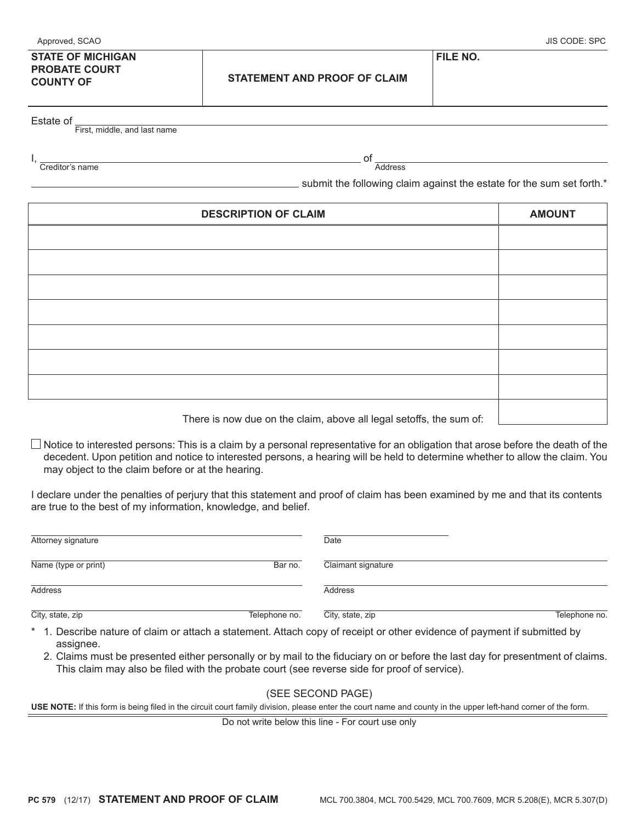| Approved, SCAO                                                       |                                     | JIS CODE: SPC   |
|----------------------------------------------------------------------|-------------------------------------|-----------------|
| <b>STATE OF MICHIGAN</b><br><b>PROBATE COURT</b><br><b>COUNTY OF</b> | <b>STATEMENT AND PROOF OF CLAIM</b> | <b>FILE NO.</b> |
|                                                                      |                                     |                 |

Estate of First, middle, and last name

I, Creditor's name

 of **Address** 

 $\equiv$  submit the following claim against the estate for the sum set forth. $*$ 

| <b>DESCRIPTION OF CLAIM</b>                                         | <b>AMOUNT</b> |
|---------------------------------------------------------------------|---------------|
|                                                                     |               |
|                                                                     |               |
|                                                                     |               |
|                                                                     |               |
|                                                                     |               |
|                                                                     |               |
|                                                                     |               |
| There is now due on the claim, above all legal setoffs, the sum of: |               |

 $\Box$  Notice to interested persons: This is a claim by a personal representative for an obligation that arose before the death of the decedent. Upon petition and notice to interested persons, a hearing will be held to determine whether to allow the claim. You may object to the claim before or at the hearing.

I declare under the penalties of perjury that this statement and proof of claim has been examined by me and that its contents are true to the best of my information, knowledge, and belief.

| Attorney signature   |               | Date                                                                                                                     |               |
|----------------------|---------------|--------------------------------------------------------------------------------------------------------------------------|---------------|
| Name (type or print) | Bar no.       | Claimant signature                                                                                                       |               |
| Address              |               | <b>Address</b>                                                                                                           |               |
| City, state, zip     | Telephone no. | City, state, zip                                                                                                         | Telephone no. |
|                      |               | * 1. Describe nature of claim or attach a statement. Attach copy of receipt or other evidence of payment if submitted by |               |

 assignee. 2. Claims must be presented either personally or by mail to the fiduciary on or before the last day for presentment of claims. This claim may also be filed with the probate court (see reverse side for proof of service).

## (SEE SECOND PAGE)

**USE NOTE:** If this form is being filed in the circuit court family division, please enter the court name and county in the upper left-hand corner of the form.

Do not write below this line - For court use only